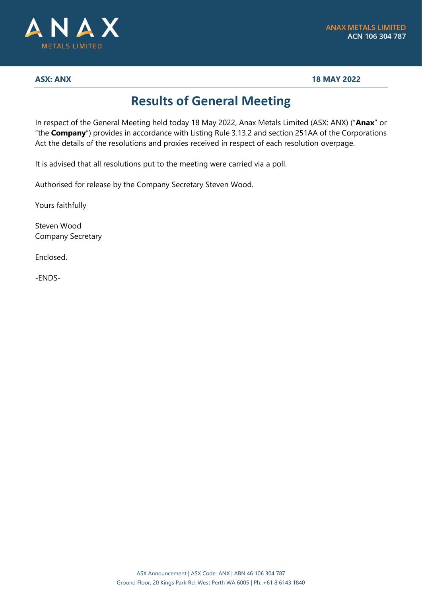

**ASX: ANX 18 MAY 2022**

## **Results of General Meeting**

In respect of the General Meeting held today 18 May 2022, Anax Metals Limited (ASX: ANX) ("**Anax**" or "the **Company**") provides in accordance with Listing Rule 3.13.2 and section 251AA of the Corporations Act the details of the resolutions and proxies received in respect of each resolution overpage.

It is advised that all resolutions put to the meeting were carried via a poll.

Authorised for release by the Company Secretary Steven Wood.

Yours faithfully

Steven Wood Company Secretary

Enclosed.

-ENDS-